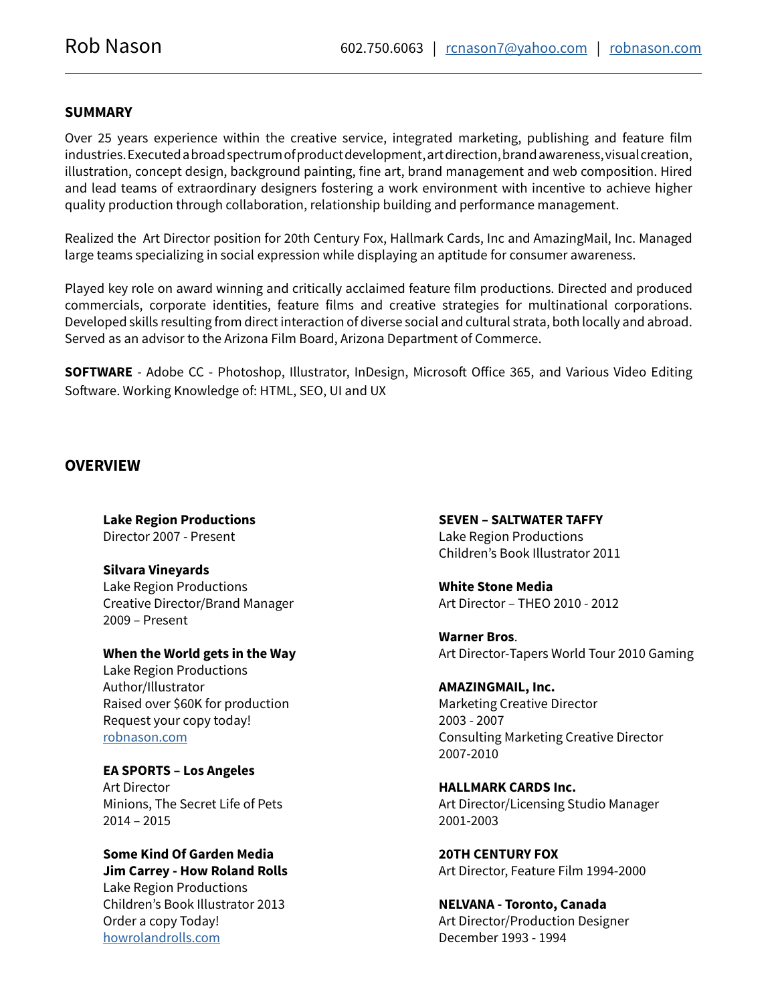### **SUMMARY**

Over 25 years experience within the creative service, integrated marketing, publishing and feature film industries. Executed a broad spectrum of product development, art direction, brand awareness, visual creation, illustration, concept design, background painting, fine art, brand management and web composition. Hired and lead teams of extraordinary designers fostering a work environment with incentive to achieve higher quality production through collaboration, relationship building and performance management.

Realized the Art Director position for 20th Century Fox, Hallmark Cards, Inc and AmazingMail, Inc. Managed large teams specializing in social expression while displaying an aptitude for consumer awareness.

Played key role on award winning and critically acclaimed feature film productions. Directed and produced commercials, corporate identities, feature films and creative strategies for multinational corporations. Developed skills resulting from direct interaction of diverse social and cultural strata, both locally and abroad. Served as an advisor to the Arizona Film Board, Arizona Department of Commerce.

**SOFTWARE** - Adobe CC - Photoshop, Illustrator, InDesign, Microsoft Office 365, and Various Video Editing Software. Working Knowledge of: HTML, SEO, UI and UX

#### **OVERVIEW**

**Lake Region Productions** Director 2007 - Present

**Silvara Vineyards** Lake Region Productions Creative Director/Brand Manager 2009 – Present

**When the World gets in the Way**

Lake Region Productions Author/Illustrator Raised over \$60K for production Request your copy today! [robnason.com](http://www.robnason.com/contact)

**EA SPORTS – Los Angeles** Art Director Minions, The Secret Life of Pets 2014 – 2015

**Some Kind Of Garden Media Jim Carrey - How Roland Rolls**

Lake Region Productions Children's Book Illustrator 2013 Order a copy Today! [howrolandrolls.com](https://shop.howrolandrolls.com/ProductDetails.asp?ProductCode=SKOG0001
)

**SEVEN – SALTWATER TAFFY** Lake Region Productions Children's Book Illustrator 2011

**White Stone Media** Art Director – THEO 2010 - 2012

**Warner Bros**. Art Director-Tapers World Tour 2010 Gaming

**AMAZINGMAIL, Inc.** Marketing Creative Director 2003 - 2007 Consulting Marketing Creative Director 2007-2010

**HALLMARK CARDS Inc.** Art Director/Licensing Studio Manager 2001-2003

**20TH CENTURY FOX** Art Director, Feature Film 1994-2000

**NELVANA - Toronto, Canada** Art Director/Production Designer December 1993 - 1994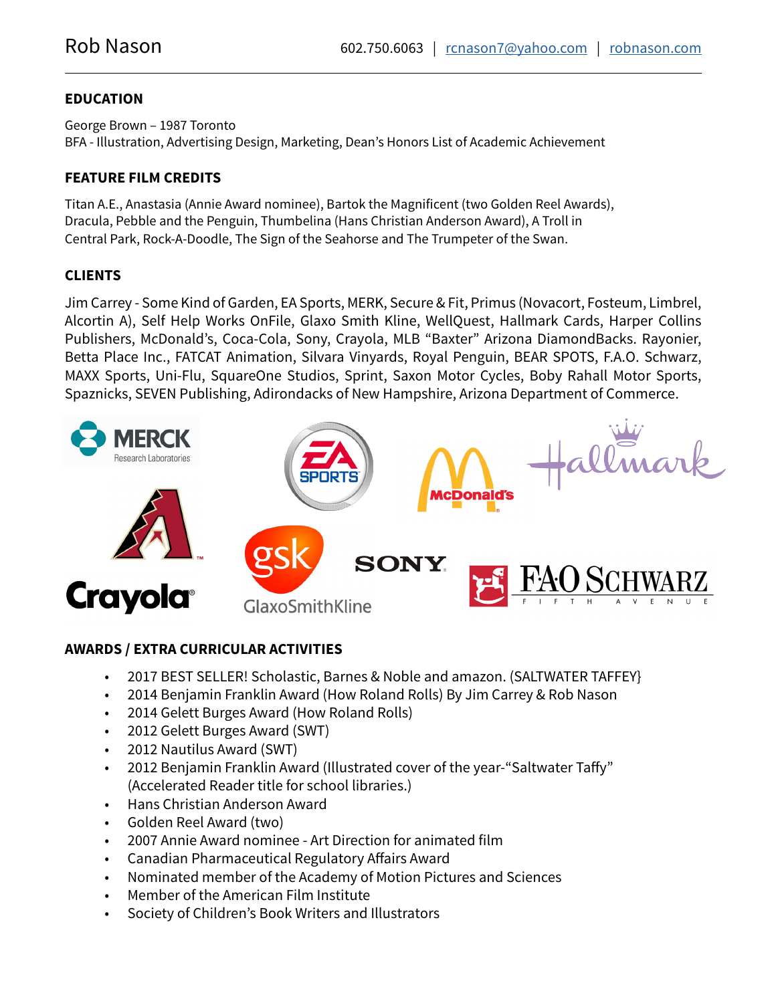## **EDUCATION**

George Brown – 1987 Toronto BFA - Illustration, Advertising Design, Marketing, Dean's Honors List of Academic Achievement

## **FEATURE FILM CREDITS**

Titan A.E., Anastasia (Annie Award nominee), Bartok the Magnificent (two Golden Reel Awards), Dracula, Pebble and the Penguin, Thumbelina (Hans Christian Anderson Award), A Troll in Central Park, Rock-A-Doodle, The Sign of the Seahorse and The Trumpeter of the Swan.

# **CLIENTS**

Jim Carrey - Some Kind of Garden, EA Sports, MERK, Secure & Fit, Primus (Novacort, Fosteum, Limbrel, Alcortin A), Self Help Works OnFile, Glaxo Smith Kline, WellQuest, Hallmark Cards, Harper Collins Publishers, McDonald's, Coca-Cola, Sony, Crayola, MLB "Baxter" Arizona DiamondBacks. Rayonier, Betta Place Inc., FATCAT Animation, Silvara Vinyards, Royal Penguin, BEAR SPOTS, F.A.O. Schwarz, MAXX Sports, Uni-Flu, SquareOne Studios, Sprint, Saxon Motor Cycles, Boby Rahall Motor Sports, Spaznicks, SEVEN Publishing, Adirondacks of New Hampshire, Arizona Department of Commerce.



## **AWARDS / EXTRA CURRICULAR ACTIVITIES**

- 2017 BEST SELLER! Scholastic, Barnes & Noble and amazon. (SALTWATER TAFFEY}
- 2014 Benjamin Franklin Award (How Roland Rolls) By Jim Carrey & Rob Nason
- 2014 Gelett Burges Award (How Roland Rolls)
- 2012 Gelett Burges Award (SWT)
- 2012 Nautilus Award (SWT)
- 2012 Benjamin Franklin Award (Illustrated cover of the year-"Saltwater Taffy" (Accelerated Reader title for school libraries.)
- Hans Christian Anderson Award
- Golden Reel Award (two)
- 2007 Annie Award nominee Art Direction for animated film
- Canadian Pharmaceutical Regulatory Affairs Award
- Nominated member of the Academy of Motion Pictures and Sciences
- Member of the American Film Institute
- Society of Children's Book Writers and Illustrators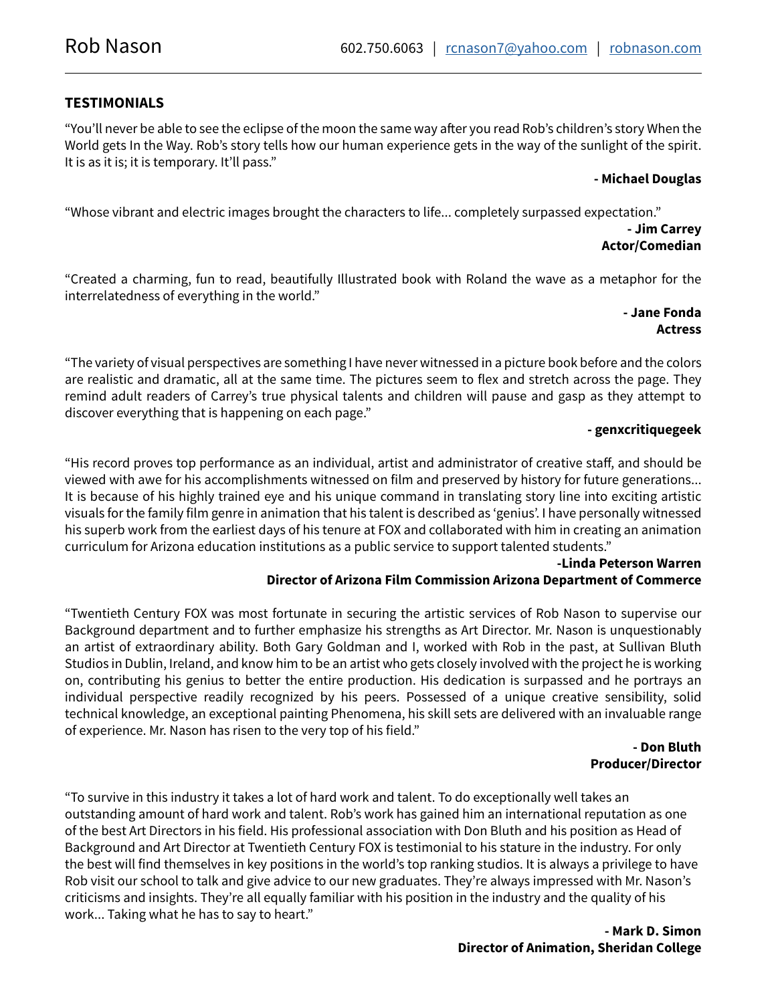## **TESTIMONIALS**

"You'll never be able to see the eclipse of the moon the same way after you read Rob's children's story When the World gets In the Way. Rob's story tells how our human experience gets in the way of the sunlight of the spirit. It is as it is; it is temporary. It'll pass."

### **- Michael Douglas**

"Whose vibrant and electric images brought the characters to life... completely surpassed expectation."

#### **- Jim Carrey Actor/Comedian**

"Created a charming, fun to read, beautifully Illustrated book with Roland the wave as a metaphor for the interrelatedness of everything in the world."

### **- Jane Fonda Actress**

"The variety of visual perspectives are something I have never witnessed in a picture book before and the colors are realistic and dramatic, all at the same time. The pictures seem to flex and stretch across the page. They remind adult readers of Carrey's true physical talents and children will pause and gasp as they attempt to discover everything that is happening on each page."

### **- genxcritiquegeek**

"His record proves top performance as an individual, artist and administrator of creative staff, and should be viewed with awe for his accomplishments witnessed on film and preserved by history for future generations... It is because of his highly trained eye and his unique command in translating story line into exciting artistic visuals for the family film genre in animation that his talent is described as 'genius'. I have personally witnessed his superb work from the earliest days of his tenure at FOX and collaborated with him in creating an animation curriculum for Arizona education institutions as a public service to support talented students."

#### **-Linda Peterson Warren Director of Arizona Film Commission Arizona Department of Commerce**

"Twentieth Century FOX was most fortunate in securing the artistic services of Rob Nason to supervise our Background department and to further emphasize his strengths as Art Director. Mr. Nason is unquestionably an artist of extraordinary ability. Both Gary Goldman and I, worked with Rob in the past, at Sullivan Bluth Studios in Dublin, Ireland, and know him to be an artist who gets closely involved with the project he is working on, contributing his genius to better the entire production. His dedication is surpassed and he portrays an individual perspective readily recognized by his peers. Possessed of a unique creative sensibility, solid technical knowledge, an exceptional painting Phenomena, his skill sets are delivered with an invaluable range of experience. Mr. Nason has risen to the very top of his field."

#### **- Don Bluth Producer/Director**

"To survive in this industry it takes a lot of hard work and talent. To do exceptionally well takes an outstanding amount of hard work and talent. Rob's work has gained him an international reputation as one of the best Art Directors in his field. His professional association with Don Bluth and his position as Head of Background and Art Director at Twentieth Century FOX is testimonial to his stature in the industry. For only the best will find themselves in key positions in the world's top ranking studios. It is always a privilege to have Rob visit our school to talk and give advice to our new graduates. They're always impressed with Mr. Nason's criticisms and insights. They're all equally familiar with his position in the industry and the quality of his work... Taking what he has to say to heart."